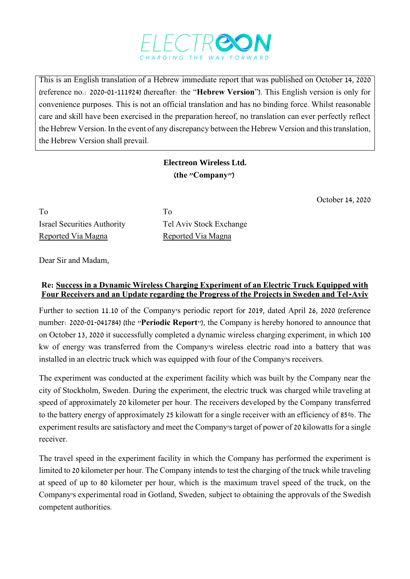

This is an English translation of a Hebrew immediate report that was published on October 14, 2020 (reference no.: 2020-01-111924) (hereafter: the "**Hebrew Version**"). This English version is only for convenience purposes. This is not an official translation and has no binding force. Whilst reasonable care and skill have been exercised in the preparation hereof, no translation can ever perfectly reflect the Hebrew Version. In the event of any discrepancy between the Hebrew Version and this translation, the Hebrew Version shall prevail.

## **Electreon Wireless Ltd. )the "Company"(**

October 14, 2020

To To Israel Securities Authority Tel Aviv Stock Exchange Reported Via Magna<br>
Reported Via Magna

Dear Sir and Madam,

## **Re: Success in a Dynamic Wireless Charging Experiment of an Electric Truck Equipped with Four Receivers and an Update regarding the Progress of the Projects in Sweden and Tel-Aviv**

Further to section 11.10 of the Company's periodic report for 2019, dated April 26, 2020 (reference number: 2020-01-041784) (the "**Periodic Report**"), the Company is hereby honored to announce that on October 13, 2020 it successfully completed a dynamic wireless charging experiment, in which 100 kw of energy was transferred from the Company's wireless electric road into a battery that was installed in an electric truck which was equipped with four of the Company's receivers.

The experiment was conducted at the experiment facility which was built by the Company near the city of Stockholm, Sweden. During the experiment, the electric truck was charged while traveling at speed of approximately 20 kilometer per hour. The receivers developed by the Company transferred to the battery energy of approximately 25 kilowatt for a single receiver with an efficiency of 85%. The experiment results are satisfactory and meet the Company's target of power of 20 kilowatts for a single receiver.

The travel speed in the experiment facility in which the Company has performed the experiment is limited to 20 kilometer per hour. The Company intends to test the charging of the truck while traveling at speed of up to 80 kilometer per hour, which is the maximum travel speed of the truck, on the Company's experimental road in Gotland, Sweden, subject to obtaining the approvals of the Swedish competent authorities.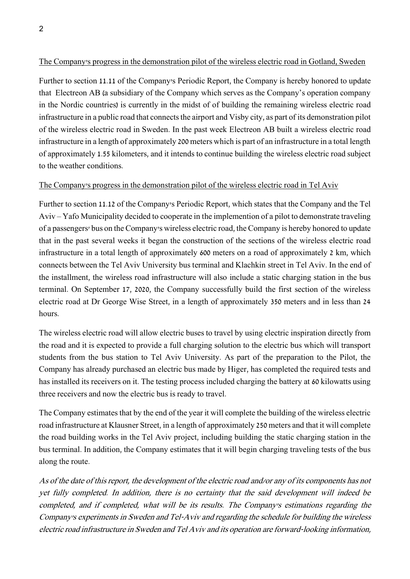## The Company's progress in the demonstration pilot of the wireless electric road in Gotland, Sweden

Further to section 11.11 of the Company's Periodic Report, the Company is hereby honored to update that Electreon AB (a subsidiary of the Company which serves as the Company's operation company in the Nordic countries) is currently in the midst of of building the remaining wireless electric road infrastructure in a public road that connects the airport and Visby city, as part of its demonstration pilot of the wireless electric road in Sweden. In the past week Electreon AB built a wireless electric road infrastructure in a length of approximately 200 meters which is part of an infrastructure in a total length of approximately 1.55 kilometers, and it intends to continue building the wireless electric road subject to the weather conditions.

## The Company's progress in the demonstration pilot of the wireless electric road in Tel Aviv

Further to section 11.12 of the Company's Periodic Report, which states that the Company and the Tel Aviv – Yafo Municipality decided to cooperate in the implemention of a pilot to demonstrate traveling of a passengers' bus on the Company's wireless electric road, the Company is hereby honored to update that in the past several weeks it began the construction of the sections of the wireless electric road infrastructure in a total length of approximately 600 meters on a road of approximately 2 km, which connects between the Tel Aviv University bus terminal and Klachkin street in Tel Aviv. In the end of the installment, the wireless road infrastructure will also include a static charging station in the bus terminal. On September 17, 2020, the Company successfully build the first section of the wireless electric road at Dr George Wise Street, in a length of approximately 350 meters and in less than 24 hours.

The wireless electric road will allow electric buses to travel by using electric inspiration directly from the road and it is expected to provide a full charging solution to the electric bus which will transport students from the bus station to Tel Aviv University. As part of the preparation to the Pilot, the Company has already purchased an electric bus made by Higer, has completed the required tests and has installed its receivers on it. The testing process included charging the battery at 60 kilowatts using three receivers and now the electric bus is ready to travel.

The Company estimates that by the end of the year it will complete the building of the wireless electric road infrastructure at Klausner Street, in a length of approximately 250 meters and that it will complete the road building works in the Tel Aviv project, including building the static charging station in the bus terminal. In addition, the Company estimates that it will begin charging traveling tests of the bus along the route.

As of the date of this report, the development of the electric road and/or any of its components has not yet fully completed. In addition, there is no certainty that the said development will indeed be completed, and if completed, what will be its results. The Company's estimations regarding the Company's experiments in Sweden and Tel-Aviv and regarding the schedule for building the wireless electric road infrastructure in Sweden and Tel Aviv and its operation are forward-looking information,